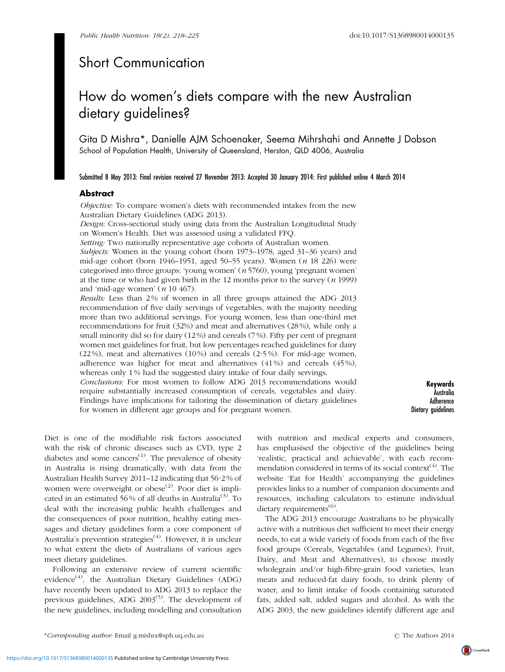## Short Communication

# How do women's diets compare with the new Australian dietary guidelines?

Gita D Mishra\*, Danielle AJM Schoenaker, Seema Mihrshahi and Annette J Dobson School of Population Health, University of Queensland, Herston, QLD 4006, Australia

Submitted 8 May 2013: Final revision received 27 November 2013: Accepted 30 January 2014: First published online 4 March 2014

### Abstract

Objective: To compare women's diets with recommended intakes from the new Australian Dietary Guidelines (ADG 2013).

Design: Cross-sectional study using data from the Australian Longitudinal Study on Women's Health. Diet was assessed using a validated FFQ.

Setting: Two nationally representative age cohorts of Australian women.

Subjects: Women in the young cohort (born 1973–1978, aged 31–36 years) and mid-age cohort (born 1946–1951, aged 50–55 years). Women (n 18 226) were categorised into three groups: 'young women'  $(n 5760)$ , young 'pregnant women' at the time or who had given birth in the 12 months prior to the survey  $(n 1999)$ and 'mid-age women' ( $n$  10 467).

Results: Less than 2 % of women in all three groups attained the ADG 2013 recommendation of five daily servings of vegetables, with the majority needing more than two additional servings. For young women, less than one-third met recommendations for fruit (32%) and meat and alternatives (28 %), while only a small minority did so for dairy (12 %) and cereals (7 %). Fifty per cent of pregnant women met guidelines for fruit, but low percentages reached guidelines for dairy  $(22%)$ , meat and alternatives  $(10%)$  and cereals  $(2.5%)$ . For mid-age women, adherence was higher for meat and alternatives  $(41\%)$  and cereals  $(45\%)$ , whereas only 1 % had the suggested dairy intake of four daily servings.

Conclusions: For most women to follow ADG 2013 recommendations would require substantially increased consumption of cereals, vegetables and dairy. Findings have implications for tailoring the dissemination of dietary guidelines for women in different age groups and for pregnant women.

Keywords Australia Adherence Dietary guidelines

Diet is one of the modifiable risk factors associated with the risk of chronic diseases such as CVD, type 2 diabetes and some cancers<sup> $(1)$  $(1)$  $(1)$ </sup>. The prevalence of obesity in Australia is rising dramatically, with data from the Australian Health Survey 2011–12 indicating that 56?2 % of women were overweight or obese<sup>([2](#page-7-0))</sup>. Poor diet is impli-cated in an estimated 56% of all deaths in Australia<sup>([3\)](#page-7-0)</sup>. To deal with the increasing public health challenges and the consequences of poor nutrition, healthy eating messages and dietary guidelines form a core component of Australia's prevention strategies<sup>([4](#page-7-0))</sup>. However, it is unclear to what extent the diets of Australians of various ages meet dietary guidelines.

Following an extensive review of current scientific evidence<sup>[\(4\)](#page-7-0)</sup>, the Australian Dietary Guidelines (ADG) have recently been updated to ADG 2013 to replace the previous guidelines, ADG  $2003^{(5)}$  $2003^{(5)}$  $2003^{(5)}$ . The development of the new guidelines, including modelling and consultation

with nutrition and medical experts and consumers, has emphasised the objective of the guidelines being 'realistic, practical and achievable', with each recommendation considered in terms of its social context $(4)$ . The website 'Eat for Health' accompanying the guidelines provides links to a number of companion documents and resources, including calculators to estimate individual dietary requirements $^{(6)}$  $^{(6)}$  $^{(6)}$ .

The ADG 2013 encourage Australians to be physically active with a nutritious diet sufficient to meet their energy needs, to eat a wide variety of foods from each of the five food groups (Cereals, Vegetables (and Legumes), Fruit, Dairy, and Meat and Alternatives), to choose mostly wholegrain and/or high-fibre-grain food varieties, lean meats and reduced-fat dairy foods, to drink plenty of water, and to limit intake of foods containing saturated fats, added salt, added sugars and alcohol. As with the ADG 2003, the new guidelines identify different age and



CrossMark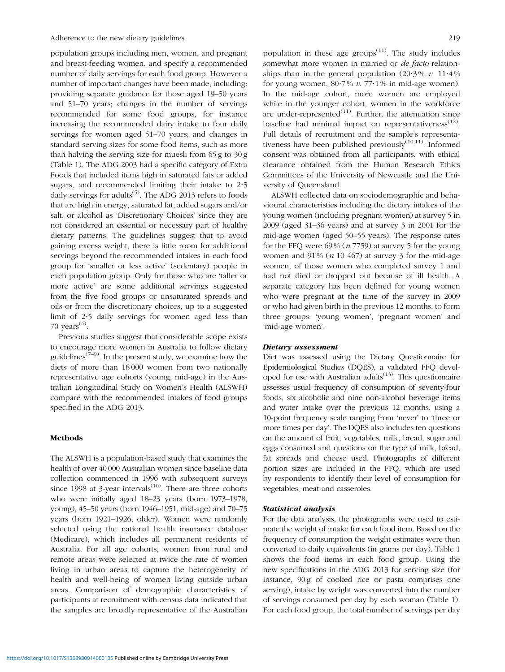population groups including men, women, and pregnant and breast-feeding women, and specify a recommended number of daily servings for each food group. However a number of important changes have been made, including: providing separate guidance for those aged 19–50 years and 51–70 years; changes in the number of servings recommended for some food groups, for instance increasing the recommended dairy intake to four daily servings for women aged 51–70 years; and changes in standard serving sizes for some food items, such as more than halving the serving size for muesli from 65 g to 30 g ([Table 1\)](#page-2-0). The ADG 2003 had a specific category of Extra Foods that included items high in saturated fats or added sugars, and recommended limiting their intake to  $2.5$ daily servings for adults<sup> $(5)$  $(5)$  $(5)$ </sup>. The ADG 2013 refers to foods that are high in energy, saturated fat, added sugars and/or salt, or alcohol as 'Discretionary Choices' since they are not considered an essential or necessary part of healthy dietary patterns. The guidelines suggest that to avoid gaining excess weight, there is little room for additional servings beyond the recommended intakes in each food group for 'smaller or less active' (sedentary) people in each population group. Only for those who are 'taller or more active' are some additional servings suggested from the five food groups or unsaturated spreads and oils or from the discretionary choices, up to a suggested limit of 2?5 daily servings for women aged less than 70 years<sup> $(4)$  $(4)$  $(4)$ </sup>.

Previous studies suggest that considerable scope exists to encourage more women in Australia to follow dietary guidelines<sup> $(7-9)$  $(7-9)$  $(7-9)$  $(7-9)$  $(7-9)$ </sup>. In the present study, we examine how the diets of more than 18 000 women from two nationally representative age cohorts (young, mid-age) in the Australian Longitudinal Study on Women's Health (ALSWH) compare with the recommended intakes of food groups specified in the ADG 2013.

#### Methods

The ALSWH is a population-based study that examines the health of over 40000 Australian women since baseline data collection commenced in 1996 with subsequent surveys since 1998 at 3-year intervals $(10)$  $(10)$ . There are three cohorts who were initially aged 18–23 years (born 1973–1978, young), 45–50 years (born 1946–1951, mid-age) and 70–75 years (born 1921–1926, older). Women were randomly selected using the national health insurance database (Medicare), which includes all permanent residents of Australia. For all age cohorts, women from rural and remote areas were selected at twice the rate of women living in urban areas to capture the heterogeneity of health and well-being of women living outside urban areas. Comparison of demographic characteristics of participants at recruitment with census data indicated that the samples are broadly representative of the Australian population in these age groups $(11)$  $(11)$ . The study includes somewhat more women in married or *de facto* relationships than in the general population  $(20.3\% \text{ } \nu \text{)}. 11.4\%$ for young women,  $80.7\%$  v.  $77.1\%$  in mid-age women). In the mid-age cohort, more women are employed while in the younger cohort, women in the workforce are under-represented $^{(11)}$  $^{(11)}$  $^{(11)}$ . Further, the attenuation since baseline had minimal impact on representativeness $(12)$  $(12)$ . Full details of recruitment and the sample's representativeness have been published previously $(10,11)$  $(10,11)$ . Informed consent was obtained from all participants, with ethical clearance obtained from the Human Research Ethics Committees of the University of Newcastle and the University of Queensland.

ALSWH collected data on sociodemographic and behavioural characteristics including the dietary intakes of the young women (including pregnant women) at survey 5 in 2009 (aged 31–36 years) and at survey 3 in 2001 for the mid-age women (aged 50–55 years). The response rates for the FFQ were  $69\%$  (*n* 7759) at survey 5 for the young women and  $91\%$  (*n* 10 467) at survey 3 for the mid-age women, of those women who completed survey 1 and had not died or dropped out because of ill health. A separate category has been defined for young women who were pregnant at the time of the survey in 2009 or who had given birth in the previous 12 months, to form three groups: 'young women', 'pregnant women' and 'mid-age women'.

### Dietary assessment

Diet was assessed using the Dietary Questionnaire for Epidemiological Studies (DQES), a validated FFQ developed for use with Australian adults<sup> $(13)$  $(13)$ </sup>. This questionnaire assesses usual frequency of consumption of seventy-four foods, six alcoholic and nine non-alcohol beverage items and water intake over the previous 12 months, using a 10-point frequency scale ranging from 'never' to 'three or more times per day'. The DQES also includes ten questions on the amount of fruit, vegetables, milk, bread, sugar and eggs consumed and questions on the type of milk, bread, fat spreads and cheese used. Photographs of different portion sizes are included in the FFQ, which are used by respondents to identify their level of consumption for vegetables, meat and casseroles.

### Statistical analysis

For the data analysis, the photographs were used to estimate the weight of intake for each food item. Based on the frequency of consumption the weight estimates were then converted to daily equivalents (in grams per day). [Table 1](#page-2-0) shows the food items in each food group. Using the new specifications in the ADG 2013 for serving size (for instance, 90g of cooked rice or pasta comprises one serving), intake by weight was converted into the number of servings consumed per day by each woman [\(Table 1\)](#page-2-0). For each food group, the total number of servings per day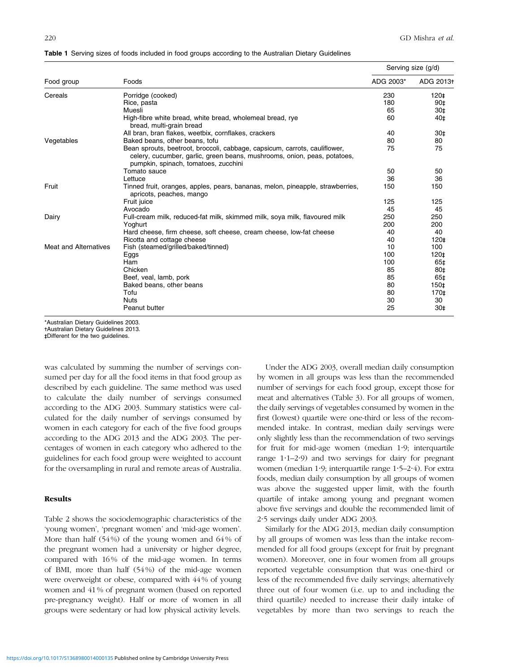|                              |                                                                                                                                                                                                | Serving size (g/d) |           |
|------------------------------|------------------------------------------------------------------------------------------------------------------------------------------------------------------------------------------------|--------------------|-----------|
| Food group                   | Foods                                                                                                                                                                                          | ADG 2003*          | ADG 2013+ |
| Cereals                      | Porridge (cooked)                                                                                                                                                                              | 230                | 120‡      |
|                              | Rice, pasta                                                                                                                                                                                    | 180                | 90‡       |
|                              | Muesli                                                                                                                                                                                         | 65                 | 30‡       |
|                              | High-fibre white bread, white bread, wholemeal bread, rye<br>bread, multi-grain bread                                                                                                          | 60                 | 40‡       |
|                              | All bran, bran flakes, weetbix, cornflakes, crackers                                                                                                                                           | 40                 | 30‡       |
| Vegetables                   | Baked beans, other beans, tofu                                                                                                                                                                 | 80                 | 80        |
|                              | Bean sprouts, beetroot, broccoli, cabbage, capsicum, carrots, cauliflower,<br>celery, cucumber, garlic, green beans, mushrooms, onion, peas, potatoes,<br>pumpkin, spinach, tomatoes, zucchini | 75                 | 75        |
|                              | Tomato sauce                                                                                                                                                                                   | 50                 | 50        |
|                              | Lettuce                                                                                                                                                                                        | 36                 | 36        |
| Fruit                        | Tinned fruit, oranges, apples, pears, bananas, melon, pineapple, strawberries,<br>apricots, peaches, mango                                                                                     | 150                | 150       |
|                              | Fruit juice                                                                                                                                                                                    | 125                | 125       |
|                              | Avocado                                                                                                                                                                                        | 45                 | 45        |
| Dairy                        | Full-cream milk, reduced-fat milk, skimmed milk, soya milk, flavoured milk                                                                                                                     | 250                | 250       |
|                              | Yoghurt                                                                                                                                                                                        | 200                | 200       |
|                              | Hard cheese, firm cheese, soft cheese, cream cheese, low-fat cheese                                                                                                                            | 40                 | 40        |
|                              | Ricotta and cottage cheese                                                                                                                                                                     | 40                 | 120‡      |
| <b>Meat and Alternatives</b> | Fish (steamed/grilled/baked/tinned)                                                                                                                                                            | 10                 | 100       |
|                              | Eggs                                                                                                                                                                                           | 100                | 120‡      |
|                              | Ham                                                                                                                                                                                            | 100                | 65‡       |
|                              | Chicken                                                                                                                                                                                        | 85                 | 80‡       |
|                              | Beef, veal, lamb, pork                                                                                                                                                                         | 85                 | 65‡       |
|                              | Baked beans, other beans                                                                                                                                                                       | 80                 | 150‡      |
|                              | Tofu                                                                                                                                                                                           | 80                 | 170‡      |
|                              | <b>Nuts</b>                                                                                                                                                                                    | 30                 | 30        |
|                              | Peanut butter                                                                                                                                                                                  | 25                 | 30‡       |

<span id="page-2-0"></span>Table 1 Serving sizes of foods included in food groups according to the Australian Dietary Guidelines

\*Australian Dietary Guidelines 2003.

-Australian Dietary Guidelines 2013.

- - Different for the two guidelines.

was calculated by summing the number of servings consumed per day for all the food items in that food group as described by each guideline. The same method was used to calculate the daily number of servings consumed according to the ADG 2003. Summary statistics were calculated for the daily number of servings consumed by women in each category for each of the five food groups according to the ADG 2013 and the ADG 2003. The percentages of women in each category who adhered to the guidelines for each food group were weighted to account for the oversampling in rural and remote areas of Australia.

#### Results

[Table 2](#page-3-0) shows the sociodemographic characteristics of the 'young women', 'pregnant women' and 'mid-age women'. More than half (54%) of the young women and 64% of the pregnant women had a university or higher degree, compared with 16% of the mid-age women. In terms of BMI, more than half (54%) of the mid-age women were overweight or obese, compared with 44% of young women and 41% of pregnant women (based on reported pre-pregnancy weight). Half or more of women in all groups were sedentary or had low physical activity levels.

Under the ADG 2003, overall median daily consumption by women in all groups was less than the recommended number of servings for each food group, except those for meat and alternatives ([Table 3](#page-4-0)). For all groups of women, the daily servings of vegetables consumed by women in the first (lowest) quartile were one-third or less of the recommended intake. In contrast, median daily servings were only slightly less than the recommendation of two servings for fruit for mid-age women (median 1.9; interquartile range  $1.1-2.9$ ) and two servings for dairy for pregnant women (median 1.9; interquartile range  $1.5-2.4$ ). For extra foods, median daily consumption by all groups of women was above the suggested upper limit, with the fourth quartile of intake among young and pregnant women above five servings and double the recommended limit of 2?5 servings daily under ADG 2003.

Similarly for the ADG 2013, median daily consumption by all groups of women was less than the intake recommended for all food groups (except for fruit by pregnant women). Moreover, one in four women from all groups reported vegetable consumption that was one-third or less of the recommended five daily servings; alternatively three out of four women (i.e. up to and including the third quartile) needed to increase their daily intake of vegetables by more than two servings to reach the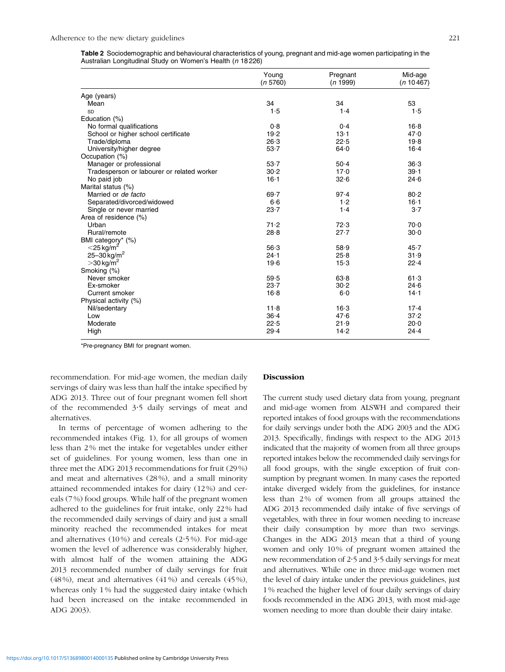<span id="page-3-0"></span>Table 2 Sociodemographic and behavioural characteristics of young, pregnant and mid-age women participating in the Australian Longitudinal Study on Women's Health (n 18 226)

|                                            | Young<br>(n 5760) | Pregnant<br>(n 1999) | Mid-age<br>(n 10467) |
|--------------------------------------------|-------------------|----------------------|----------------------|
| Age (years)                                |                   |                      |                      |
| Mean                                       | 34                | 34                   | 53                   |
| SD                                         | 1.5               | 1.4                  | 1.5                  |
| Education (%)                              |                   |                      |                      |
| No formal qualifications                   | 0.8               | 0.4                  | $16 - 8$             |
| School or higher school certificate        | 19.2              | $13-1$               | 47.0                 |
| Trade/diploma                              | 26.3              | 22.5                 | 19.8                 |
| University/higher degree                   | $53 - 7$          | 64.0                 | $16 - 4$             |
| Occupation (%)                             |                   |                      |                      |
| Manager or professional                    | $53 - 7$          | $50 - 4$             | 36.3                 |
| Tradesperson or labourer or related worker | 30.2              | 17.0                 | $39 - 1$             |
| No paid job                                | $16 - 1$          | 32.6                 | 24.6                 |
| Marital status (%)                         |                   |                      |                      |
| Married or <i>de facto</i>                 | $69 - 7$          | 97.4                 | 80.2                 |
| Separated/divorced/widowed                 | 6.6               | 1.2                  | $16 - 1$             |
| Single or never married                    | $23 - 7$          | 1.4                  | $3-7$                |
| Area of residence (%)                      |                   |                      |                      |
| Urban                                      | 71.2              | 72.3                 | 70.0                 |
| Rural/remote                               | 28.8              | $27 - 7$             | $30-0$               |
| BMI category* (%)                          |                   |                      |                      |
| $<$ 25 kg/m <sup>o</sup>                   | 56.3              | 58.9                 | 45.7                 |
| 25-30 kg/m <sup>2</sup>                    | $24 - 1$          | 25.8                 | 31.9                 |
| $>$ 30 kg/m <sup>2</sup>                   | 19.6              | $15-3$               | 22.4                 |
| Smoking (%)                                |                   |                      |                      |
| Never smoker                               | 59.5              | 63.8                 | 61.3                 |
| Ex-smoker                                  | 23.7              | 30.2                 | 24.6                 |
| Current smoker                             | 16.8              | $6-0$                | $14 - 1$             |
| Physical activity (%)                      |                   |                      |                      |
| Nil/sedentary                              | 11.8              | $16-3$               | $17-4$               |
| Low                                        | $36 - 4$          | 47.6                 | 37.2                 |
| Moderate                                   | 22.5              | 21.9                 | 20.0                 |
| High                                       | 29.4              | 14.2                 | 24.4                 |

\*Pre-pregnancy BMI for pregnant women.

recommendation. For mid-age women, the median daily servings of dairy was less than half the intake specified by ADG 2013. Three out of four pregnant women fell short of the recommended 3?5 daily servings of meat and alternatives.

In terms of percentage of women adhering to the recommended intakes [\(Fig. 1](#page-5-0)), for all groups of women less than 2 % met the intake for vegetables under either set of guidelines. For young women, less than one in three met the ADG 2013 recommendations for fruit (29 %) and meat and alternatives (28 %), and a small minority attained recommended intakes for dairy (12 %) and cereals (7 %) food groups. While half of the pregnant women adhered to the guidelines for fruit intake, only 22 % had the recommended daily servings of dairy and just a small minority reached the recommended intakes for meat and alternatives  $(10\%)$  and cereals  $(2.5\%)$ . For mid-age women the level of adherence was considerably higher, with almost half of the women attaining the ADG 2013 recommended number of daily servings for fruit (48 %), meat and alternatives (41 %) and cereals (45 %), whereas only 1 % had the suggested dairy intake (which had been increased on the intake recommended in ADG 2003).

#### Discussion

The current study used dietary data from young, pregnant and mid-age women from ALSWH and compared their reported intakes of food groups with the recommendations for daily servings under both the ADG 2003 and the ADG 2013. Specifically, findings with respect to the ADG 2013 indicated that the majority of women from all three groups reported intakes below the recommended daily servings for all food groups, with the single exception of fruit consumption by pregnant women. In many cases the reported intake diverged widely from the guidelines, for instance less than 2% of women from all groups attained the ADG 2013 recommended daily intake of five servings of vegetables, with three in four women needing to increase their daily consumption by more than two servings. Changes in the ADG 2013 mean that a third of young women and only 10% of pregnant women attained the new recommendation of 2.5 and 3.5 daily servings for meat and alternatives. While one in three mid-age women met the level of dairy intake under the previous guidelines, just 1% reached the higher level of four daily servings of dairy foods recommended in the ADG 2013, with most mid-age women needing to more than double their dairy intake.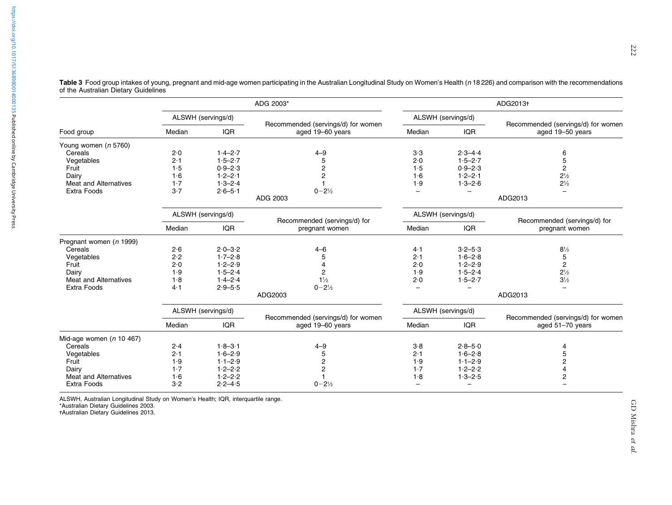|                              | ADG 2003*          |             | ADG2013+                                               |                          |                          |                                                        |
|------------------------------|--------------------|-------------|--------------------------------------------------------|--------------------------|--------------------------|--------------------------------------------------------|
|                              | ALSWH (servings/d) |             | Recommended (servings/d) for women<br>aged 19-60 years | ALSWH (servings/d)       |                          |                                                        |
| Food group                   | Median             | <b>IQR</b>  |                                                        | Median                   | <b>IQR</b>               | Recommended (servings/d) for women<br>aged 19-50 years |
| Young women (n 5760)         |                    |             |                                                        |                          |                          |                                                        |
| Cereals                      | 2.0                | $1.4 - 2.7$ | $4 - 9$                                                | 3.3                      | $2.3 - 4.4$              | 6                                                      |
| Vegetables                   | 2.1                | $1.5 - 2.7$ | 5                                                      | 2.0                      | $1.5 - 2.7$              | 5                                                      |
| Fruit                        | 1.5                | $0.9 - 2.3$ | 2                                                      | 1.5                      | $0.9 - 2.3$              | $\overline{c}$                                         |
| Dairy                        | 1.6                | $1.2 - 2.1$ | $\overline{2}$                                         | 1·6                      | $1.2 - 2.1$              | $2\frac{1}{2}$                                         |
| <b>Meat and Alternatives</b> | 1.7                | $1.3 - 2.4$ |                                                        | 1.9                      | $1.3 - 2.6$              | $2\frac{1}{2}$                                         |
| Extra Foods                  | 3.7                | $2.6 - 5.1$ | $0 - 2\frac{1}{2}$                                     |                          | -                        |                                                        |
|                              |                    |             | ADG 2003                                               |                          |                          | ADG2013                                                |
|                              | ALSWH (servings/d) |             |                                                        | ALSWH (servings/d)       |                          |                                                        |
|                              | Median             | <b>IQR</b>  | Recommended (servings/d) for<br>pregnant women         | Median                   | <b>IQR</b>               | Recommended (servings/d) for<br>pregnant women         |
| Pregnant women (n 1999)      |                    |             |                                                        |                          |                          |                                                        |
| Cereals                      | 2.6                | $2.0 - 3.2$ | $4 - 6$                                                | 4·1                      | $3.2 - 5.3$              | $8\frac{1}{2}$                                         |
| Vegetables                   | 2.2                | $1.7 - 2.8$ | 5                                                      | 2.1                      | $1.6 - 2.8$              | 5                                                      |
| Fruit                        | 2.0                | $1.2 - 2.9$ | 4                                                      | 2.0                      | $1.2 - 2.9$              | $\overline{c}$                                         |
| Dairy                        | 1.9                | $1.5 - 2.4$ | 2                                                      | 1.9                      | $1.5 - 2.4$              | $2\frac{1}{2}$                                         |
| <b>Meat and Alternatives</b> | 1.8                | $1.4 - 2.4$ | $1\frac{1}{2}$                                         | 2.0                      | $1.5 - 2.7$              | $3\frac{1}{2}$                                         |
| Extra Foods                  | 4.1                | $2.9 - 5.5$ | $0 - 2\frac{1}{2}$                                     | $\overline{\phantom{0}}$ | $\overline{\phantom{0}}$ |                                                        |
|                              |                    |             | ADG2003                                                |                          |                          | ADG2013                                                |
|                              | ALSWH (servings/d) |             |                                                        | ALSWH (servings/d)       |                          | Recommended (servings/d) for women                     |
|                              | Median             | <b>IQR</b>  | Recommended (servings/d) for women<br>aged 19-60 years | Median                   | <b>IQR</b>               | aged 51-70 years                                       |
| Mid-age women ( $n$ 10 467)  |                    |             |                                                        |                          |                          |                                                        |
| Cereals                      | 2.4                | $1.8 - 3.1$ | $4 - 9$                                                | 3.8                      | $2.8 - 5.0$              | 4                                                      |
| Vegetables                   | 2.1                | $1.6 - 2.9$ | 5                                                      | 2.1                      | $1.6 - 2.8$              | 5                                                      |
| Fruit                        | 1.9                | $1.1 - 2.9$ | 2                                                      | 1.9                      | $1.1 - 2.9$              | 2                                                      |
| Dairy                        | 1.7                | $1.2 - 2.2$ | 2                                                      | 1.7                      | $1.2 - 2.2$              |                                                        |
| <b>Meat and Alternatives</b> | 1.6                | $1.2 - 2.2$ |                                                        | 1.8                      | $1.3 - 2.5$              | $\overline{c}$                                         |
| <b>Extra Foods</b>           | 3.2                | $2.2 - 4.5$ | $0 - 2\frac{1}{2}$                                     | -                        | -                        |                                                        |

<span id="page-4-0"></span>Table 3 Food group intakes of young, pregnant and mid-age women participating in the Australian Longitudinal Study on Women's Health (n 18 226) and comparison with the recommendations of the Australian Dietary Guidelines

ALSWH, Australian Longitudinal Study on Women's Health; IQR, interquartile range. \*Australian Dietary Guidelines 2003. -Australian Dietary Guidelines 2013.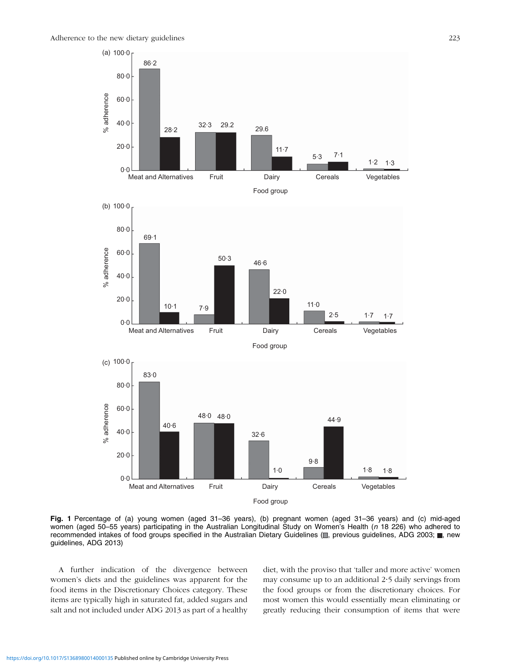<span id="page-5-0"></span>



A further indication of the divergence between women's diets and the guidelines was apparent for the food items in the Discretionary Choices category. These items are typically high in saturated fat, added sugars and salt and not included under ADG 2013 as part of a healthy diet, with the proviso that 'taller and more active' women may consume up to an additional 2?5 daily servings from the food groups or from the discretionary choices. For most women this would essentially mean eliminating or greatly reducing their consumption of items that were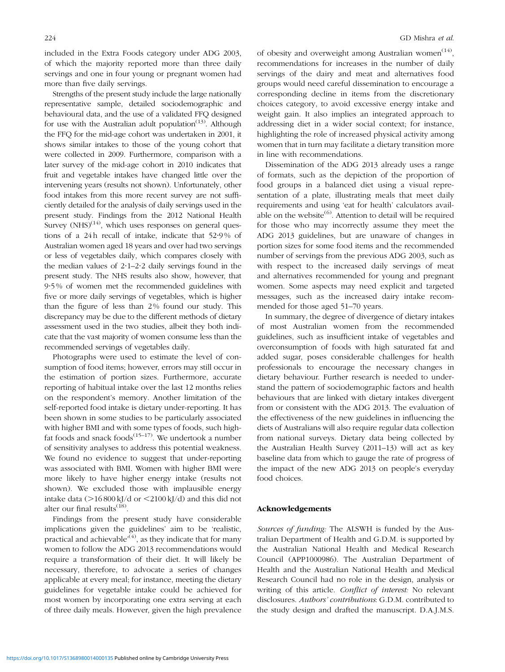included in the Extra Foods category under ADG 2003, of which the majority reported more than three daily servings and one in four young or pregnant women had more than five daily servings.

Strengths of the present study include the large nationally representative sample, detailed sociodemographic and behavioural data, and the use of a validated FFQ designed for use with the Australian adult population<sup>[\(13](#page-7-0))</sup>. Although the FFQ for the mid-age cohort was undertaken in 2001, it shows similar intakes to those of the young cohort that were collected in 2009. Furthermore, comparison with a later survey of the mid-age cohort in 2010 indicates that fruit and vegetable intakes have changed little over the intervening years (results not shown). Unfortunately, other food intakes from this more recent survey are not sufficiently detailed for the analysis of daily servings used in the present study. Findings from the 2012 National Health Survey  $(NHS)^{(14)}$  $(NHS)^{(14)}$  $(NHS)^{(14)}$ , which uses responses on general questions of a 24h recall of intake, indicate that 52?9% of Australian women aged 18 years and over had two servings or less of vegetables daily, which compares closely with the median values of  $2.1-2.2$  daily servings found in the present study. The NHS results also show, however, that 9?5% of women met the recommended guidelines with five or more daily servings of vegetables, which is higher than the figure of less than 2% found our study. This discrepancy may be due to the different methods of dietary assessment used in the two studies, albeit they both indicate that the vast majority of women consume less than the recommended servings of vegetables daily.

Photographs were used to estimate the level of consumption of food items; however, errors may still occur in the estimation of portion sizes. Furthermore, accurate reporting of habitual intake over the last 12 months relies on the respondent's memory. Another limitation of the self-reported food intake is dietary under-reporting. It has been shown in some studies to be particularly associated with higher BMI and with some types of foods, such highfat foods and snack foods $(15-17)$ . We undertook a number of sensitivity analyses to address this potential weakness. We found no evidence to suggest that under-reporting was associated with BMI. Women with higher BMI were more likely to have higher energy intake (results not shown). We excluded those with implausible energy intake data  $(>16800 \text{ kJ/d} \text{ or } <2100 \text{ kJ/d})$  and this did not alter our final results<sup>([18\)](#page-7-0)</sup>.

Findings from the present study have considerable implications given the guidelines' aim to be 'realistic, practical and achievable<sup> $(4)$  $(4)$  $(4)$ </sup>, as they indicate that for many women to follow the ADG 2013 recommendations would require a transformation of their diet. It will likely be necessary, therefore, to advocate a series of changes applicable at every meal; for instance, meeting the dietary guidelines for vegetable intake could be achieved for most women by incorporating one extra serving at each of three daily meals. However, given the high prevalence of obesity and overweight among Australian women<sup>([14\)](#page-7-0)</sup>, recommendations for increases in the number of daily servings of the dairy and meat and alternatives food groups would need careful dissemination to encourage a corresponding decline in items from the discretionary choices category, to avoid excessive energy intake and weight gain. It also implies an integrated approach to addressing diet in a wider social context; for instance, highlighting the role of increased physical activity among women that in turn may facilitate a dietary transition more in line with recommendations.

Dissemination of the ADG 2013 already uses a range of formats, such as the depiction of the proportion of food groups in a balanced diet using a visual representation of a plate, illustrating meals that meet daily requirements and using 'eat for health' calculators available on the website $^{(6)}$  $^{(6)}$  $^{(6)}$ . Attention to detail will be required for those who may incorrectly assume they meet the ADG 2013 guidelines, but are unaware of changes in portion sizes for some food items and the recommended number of servings from the previous ADG 2003, such as with respect to the increased daily servings of meat and alternatives recommended for young and pregnant women. Some aspects may need explicit and targeted messages, such as the increased dairy intake recommended for those aged 51–70 years.

In summary, the degree of divergence of dietary intakes of most Australian women from the recommended guidelines, such as insufficient intake of vegetables and overconsumption of foods with high saturated fat and added sugar, poses considerable challenges for health professionals to encourage the necessary changes in dietary behaviour. Further research is needed to understand the pattern of sociodemographic factors and health behaviours that are linked with dietary intakes divergent from or consistent with the ADG 2013. The evaluation of the effectiveness of the new guidelines in influencing the diets of Australians will also require regular data collection from national surveys. Dietary data being collected by the Australian Health Survey (2011–13) will act as key baseline data from which to gauge the rate of progress of the impact of the new ADG 2013 on people's everyday food choices.

### Acknowledgements

Sources of funding: The ALSWH is funded by the Australian Department of Health and G.D.M. is supported by the Australian National Health and Medical Research Council (APP1000986). The Australian Department of Health and the Australian National Health and Medical Research Council had no role in the design, analysis or writing of this article. Conflict of interest: No relevant disclosures. Authors' contributions: G.D.M. contributed to the study design and drafted the manuscript. D.A.J.M.S.